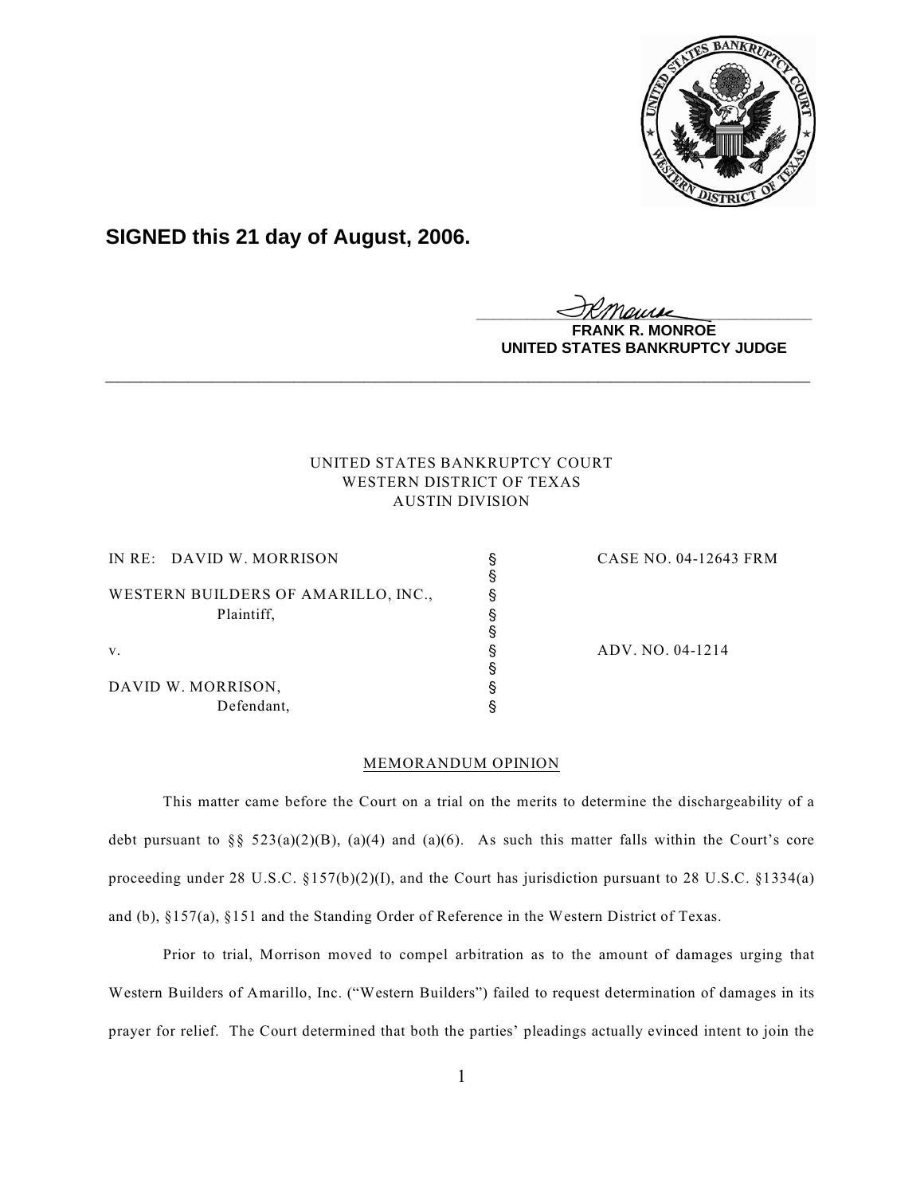

# **SIGNED this 21 day of August, 2006.**

<u>IKThemse</u> **MONROE** 

**UNITED STATES BANKRUPTCY JUDGE**

# UNITED STATES BANKRUPTCY COURT WESTERN DISTRICT OF TEXAS AUSTIN DIVISION

**\_\_\_\_\_\_\_\_\_\_\_\_\_\_\_\_\_\_\_\_\_\_\_\_\_\_\_\_\_\_\_\_\_\_\_\_\_\_\_\_\_\_\_\_\_\_\_\_\_\_\_\_\_\_\_\_\_\_\_\_**

| IN RE: DAVID W. MORRISON            | CASE NO. 04-12643 FRM |
|-------------------------------------|-----------------------|
|                                     |                       |
| WESTERN BUILDERS OF AMARILLO, INC., |                       |
| Plaintiff,                          |                       |
|                                     |                       |
| V.                                  | ADV. NO. 04-1214      |
|                                     |                       |
| DAVID W. MORRISON,                  |                       |
| Defendant,                          |                       |
|                                     |                       |

# MEMORANDUM OPINION

This matter came before the Court on a trial on the merits to determine the dischargeability of a debt pursuant to  $\S$  523(a)(2)(B), (a)(4) and (a)(6). As such this matter falls within the Court's core proceeding under 28 U.S.C. §157(b)(2)(I), and the Court has jurisdiction pursuant to 28 U.S.C. §1334(a) and (b), §157(a), §151 and the Standing Order of Reference in the Western District of Texas.

Prior to trial, Morrison moved to compel arbitration as to the amount of damages urging that Western Builders of Amarillo, Inc. ("Western Builders") failed to request determination of damages in its prayer for relief. The Court determined that both the parties' pleadings actually evinced intent to join the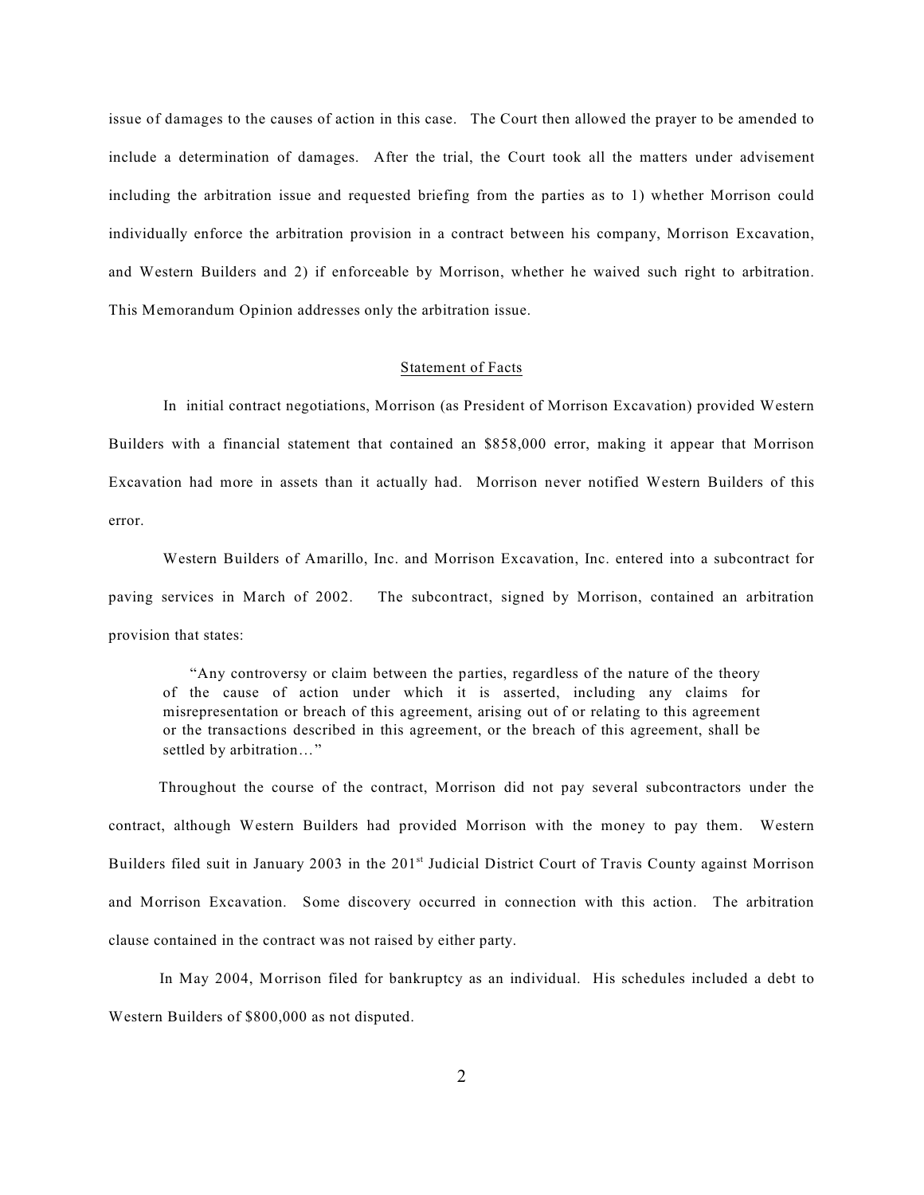issue of damages to the causes of action in this case. The Court then allowed the prayer to be amended to include a determination of damages. After the trial, the Court took all the matters under advisement including the arbitration issue and requested briefing from the parties as to 1) whether Morrison could individually enforce the arbitration provision in a contract between his company, Morrison Excavation, and Western Builders and 2) if enforceable by Morrison, whether he waived such right to arbitration. This Memorandum Opinion addresses only the arbitration issue.

## Statement of Facts

 In initial contract negotiations, Morrison (as President of Morrison Excavation) provided Western Builders with a financial statement that contained an \$858,000 error, making it appear that Morrison Excavation had more in assets than it actually had. Morrison never notified Western Builders of this error.

Western Builders of Amarillo, Inc. and Morrison Excavation, Inc. entered into a subcontract for paving services in March of 2002. The subcontract, signed by Morrison, contained an arbitration provision that states:

"Any controversy or claim between the parties, regardless of the nature of the theory of the cause of action under which it is asserted, including any claims for misrepresentation or breach of this agreement, arising out of or relating to this agreement or the transactions described in this agreement, or the breach of this agreement, shall be settled by arbitration…"

 Throughout the course of the contract, Morrison did not pay several subcontractors under the contract, although Western Builders had provided Morrison with the money to pay them. Western Builders filed suit in January 2003 in the 201<sup>st</sup> Judicial District Court of Travis County against Morrison and Morrison Excavation. Some discovery occurred in connection with this action. The arbitration clause contained in the contract was not raised by either party.

 In May 2004, Morrison filed for bankruptcy as an individual. His schedules included a debt to Western Builders of \$800,000 as not disputed.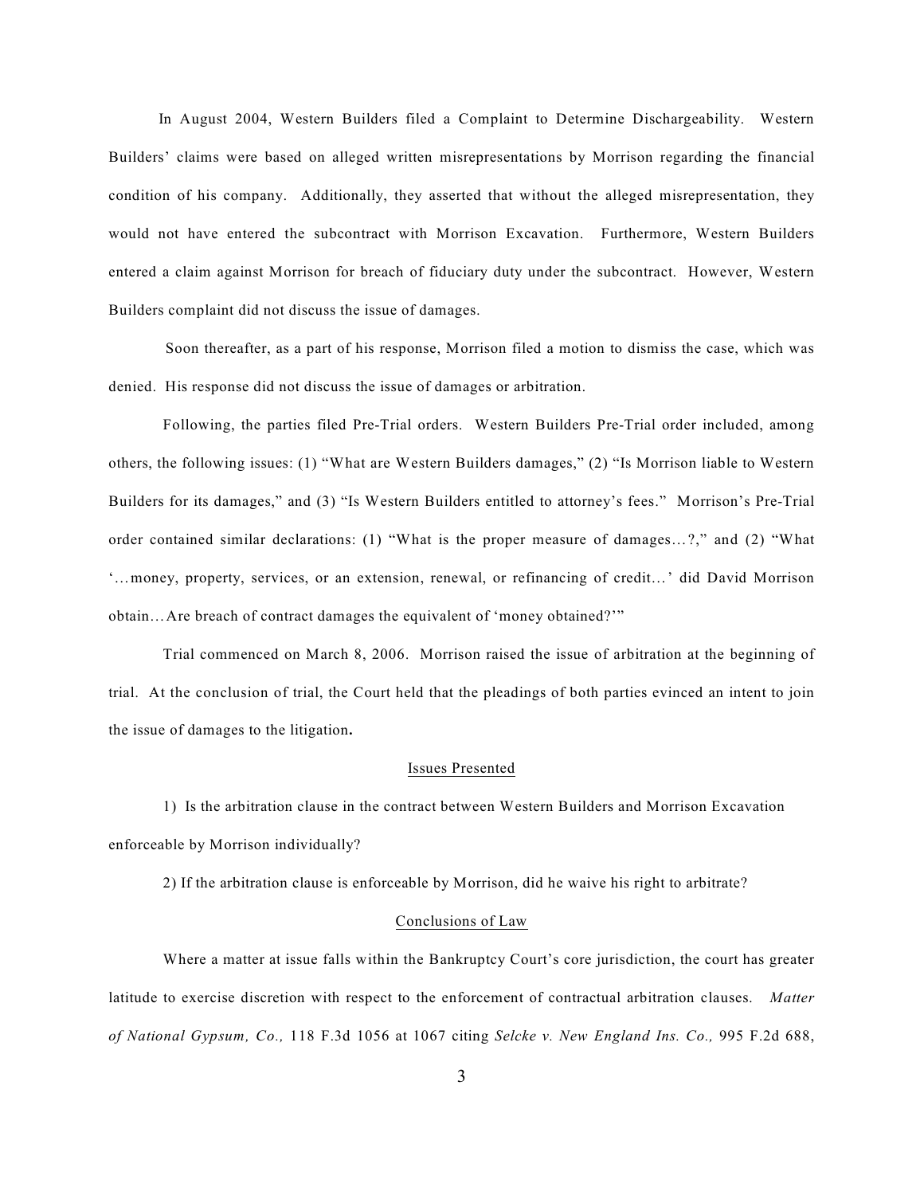In August 2004, Western Builders filed a Complaint to Determine Dischargeability. Western Builders' claims were based on alleged written misrepresentations by Morrison regarding the financial condition of his company. Additionally, they asserted that without the alleged misrepresentation, they would not have entered the subcontract with Morrison Excavation. Furthermore, Western Builders entered a claim against Morrison for breach of fiduciary duty under the subcontract. However, Western Builders complaint did not discuss the issue of damages.

 Soon thereafter, as a part of his response, Morrison filed a motion to dismiss the case, which was denied. His response did not discuss the issue of damages or arbitration.

Following, the parties filed Pre-Trial orders. Western Builders Pre-Trial order included, among others, the following issues: (1) "What are Western Builders damages," (2) "Is Morrison liable to Western Builders for its damages," and (3) "Is Western Builders entitled to attorney's fees." Morrison's Pre-Trial order contained similar declarations: (1) "What is the proper measure of damages…?," and (2) "What '…money, property, services, or an extension, renewal, or refinancing of credit…' did David Morrison obtain…Are breach of contract damages the equivalent of 'money obtained?'"

Trial commenced on March 8, 2006. Morrison raised the issue of arbitration at the beginning of trial. At the conclusion of trial, the Court held that the pleadings of both parties evinced an intent to join the issue of damages to the litigation**.**

#### Issues Presented

1) Is the arbitration clause in the contract between Western Builders and Morrison Excavation enforceable by Morrison individually?

2) If the arbitration clause is enforceable by Morrison, did he waive his right to arbitrate?

### Conclusions of Law

Where a matter at issue falls within the Bankruptcy Court's core jurisdiction, the court has greater latitude to exercise discretion with respect to the enforcement of contractual arbitration clauses. *Matter of National Gypsum, Co.,* 118 F.3d 1056 at 1067 citing *Selcke v. New England Ins. Co.,* 995 F.2d 688,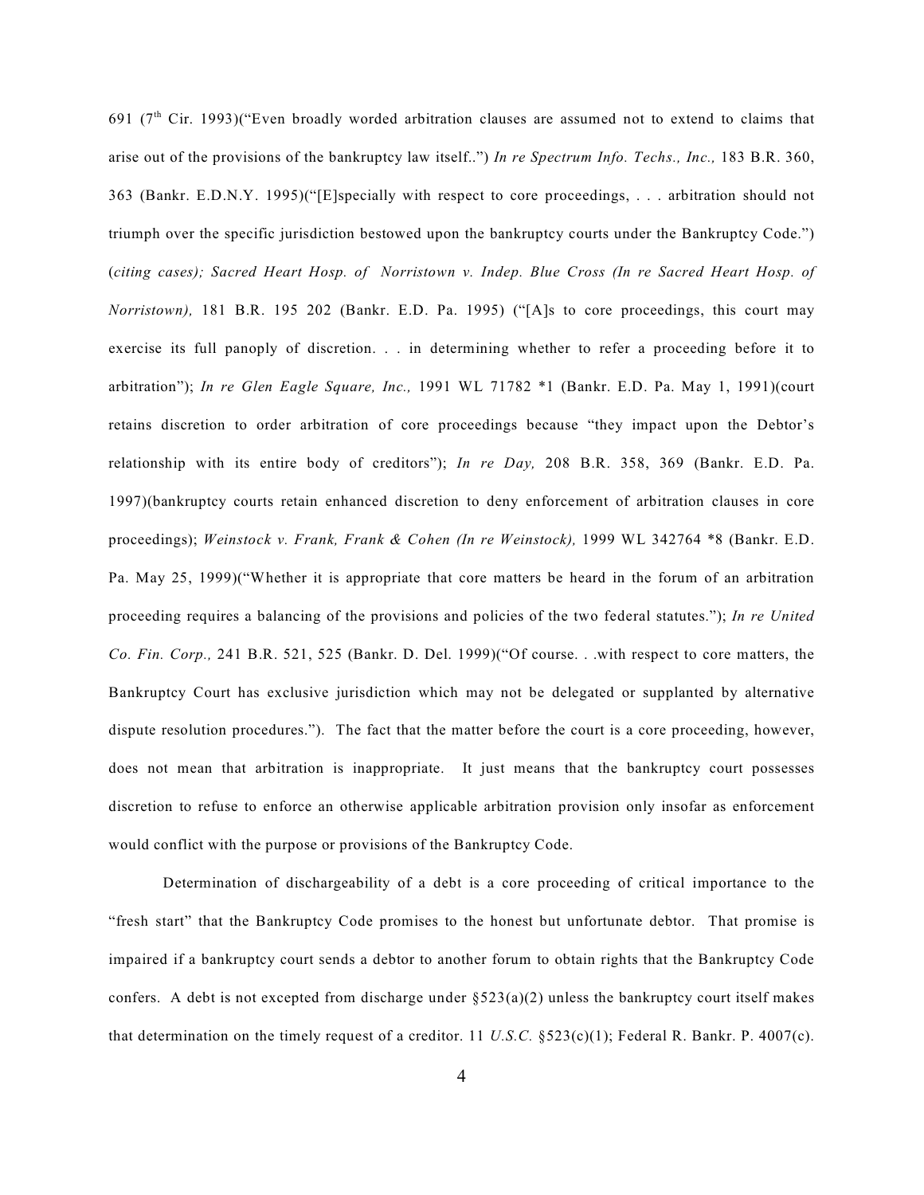691 ( $7<sup>th</sup>$  Cir. 1993)("Even broadly worded arbitration clauses are assumed not to extend to claims that arise out of the provisions of the bankruptcy law itself..") *In re Spectrum Info. Techs., Inc.,* 183 B.R. 360, 363 (Bankr. E.D.N.Y. 1995)("[E]specially with respect to core proceedings, . . . arbitration should not triumph over the specific jurisdiction bestowed upon the bankruptcy courts under the Bankruptcy Code.") (*citing cases); Sacred Heart Hosp. of Norristown v. Indep. Blue Cross (In re Sacred Heart Hosp. of Norristown),* 181 B.R. 195 202 (Bankr. E.D. Pa. 1995) ("[A]s to core proceedings, this court may exercise its full panoply of discretion. . . in determining whether to refer a proceeding before it to arbitration"); *In re Glen Eagle Square, Inc.,* 1991 WL 71782 \*1 (Bankr. E.D. Pa. May 1, 1991)(court retains discretion to order arbitration of core proceedings because "they impact upon the Debtor's relationship with its entire body of creditors"); *In re Day,* 208 B.R. 358, 369 (Bankr. E.D. Pa. 1997)(bankruptcy courts retain enhanced discretion to deny enforcement of arbitration clauses in core proceedings); *Weinstock v. Frank, Frank & Cohen (In re Weinstock),* 1999 WL 342764 \*8 (Bankr. E.D. Pa. May 25, 1999)("Whether it is appropriate that core matters be heard in the forum of an arbitration proceeding requires a balancing of the provisions and policies of the two federal statutes."); *In re United Co. Fin. Corp.,* 241 B.R. 521, 525 (Bankr. D. Del. 1999)("Of course. . .with respect to core matters, the Bankruptcy Court has exclusive jurisdiction which may not be delegated or supplanted by alternative dispute resolution procedures."). The fact that the matter before the court is a core proceeding, however, does not mean that arbitration is inappropriate. It just means that the bankruptcy court possesses discretion to refuse to enforce an otherwise applicable arbitration provision only insofar as enforcement would conflict with the purpose or provisions of the Bankruptcy Code.

Determination of dischargeability of a debt is a core proceeding of critical importance to the "fresh start" that the Bankruptcy Code promises to the honest but unfortunate debtor. That promise is impaired if a bankruptcy court sends a debtor to another forum to obtain rights that the Bankruptcy Code confers. A debt is not excepted from discharge under  $\S 523(a)(2)$  unless the bankruptcy court itself makes that determination on the timely request of a creditor. 11 *U.S.C.* §523(c)(1); Federal R. Bankr. P. 4007(c).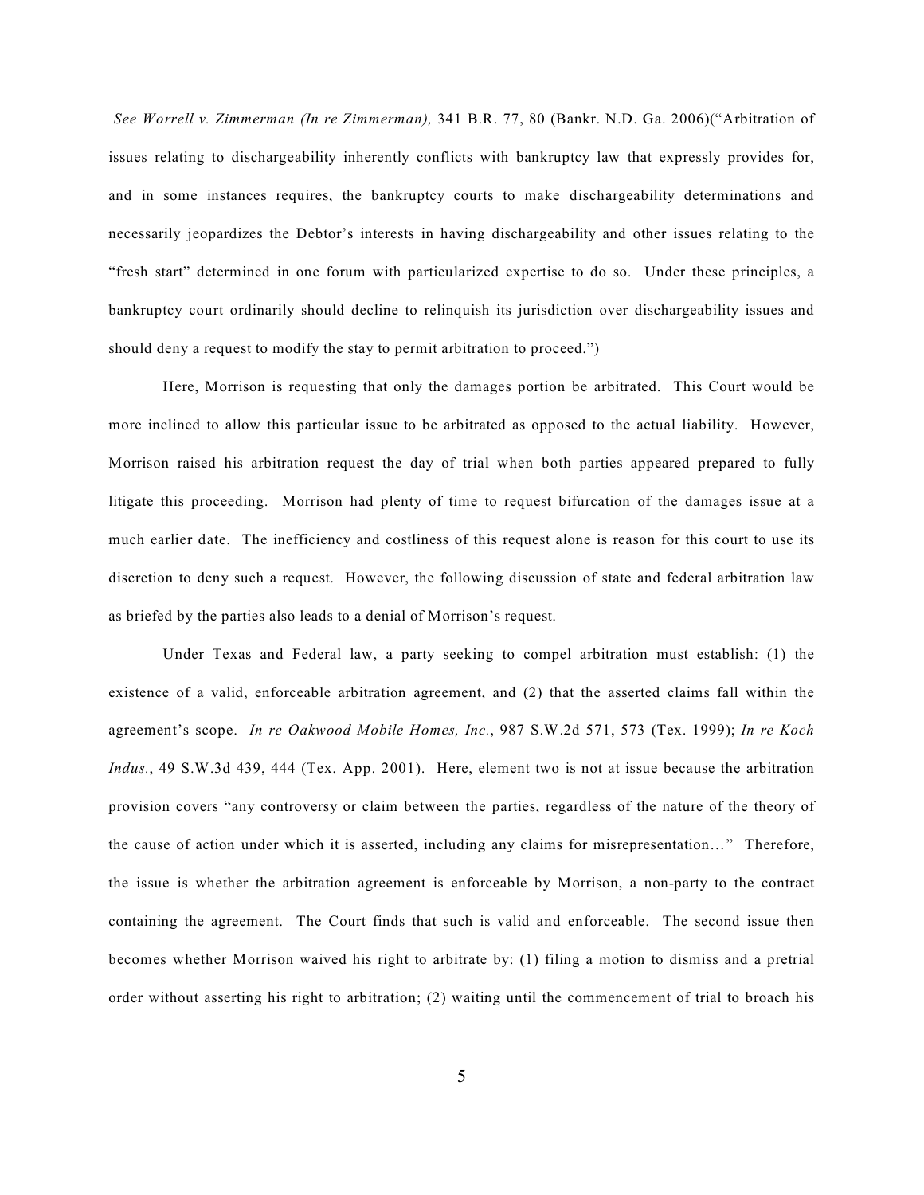*See Worrell v. Zimmerman (In re Zimmerman),* 341 B.R. 77, 80 (Bankr. N.D. Ga. 2006)("Arbitration of issues relating to dischargeability inherently conflicts with bankruptcy law that expressly provides for, and in some instances requires, the bankruptcy courts to make dischargeability determinations and necessarily jeopardizes the Debtor's interests in having dischargeability and other issues relating to the "fresh start" determined in one forum with particularized expertise to do so. Under these principles, a bankruptcy court ordinarily should decline to relinquish its jurisdiction over dischargeability issues and should deny a request to modify the stay to permit arbitration to proceed.")

Here, Morrison is requesting that only the damages portion be arbitrated. This Court would be more inclined to allow this particular issue to be arbitrated as opposed to the actual liability. However, Morrison raised his arbitration request the day of trial when both parties appeared prepared to fully litigate this proceeding. Morrison had plenty of time to request bifurcation of the damages issue at a much earlier date. The inefficiency and costliness of this request alone is reason for this court to use its discretion to deny such a request. However, the following discussion of state and federal arbitration law as briefed by the parties also leads to a denial of Morrison's request.

Under Texas and Federal law, a party seeking to compel arbitration must establish: (1) the existence of a valid, enforceable arbitration agreement, and (2) that the asserted claims fall within the agreement's scope. *In re Oakwood Mobile Homes, Inc.*, 987 S.W.2d 571, 573 (Tex. 1999); *In re Koch Indus.*, 49 S.W.3d 439, 444 (Tex. App. 2001). Here, element two is not at issue because the arbitration provision covers "any controversy or claim between the parties, regardless of the nature of the theory of the cause of action under which it is asserted, including any claims for misrepresentation…" Therefore, the issue is whether the arbitration agreement is enforceable by Morrison, a non-party to the contract containing the agreement. The Court finds that such is valid and enforceable. The second issue then becomes whether Morrison waived his right to arbitrate by: (1) filing a motion to dismiss and a pretrial order without asserting his right to arbitration; (2) waiting until the commencement of trial to broach his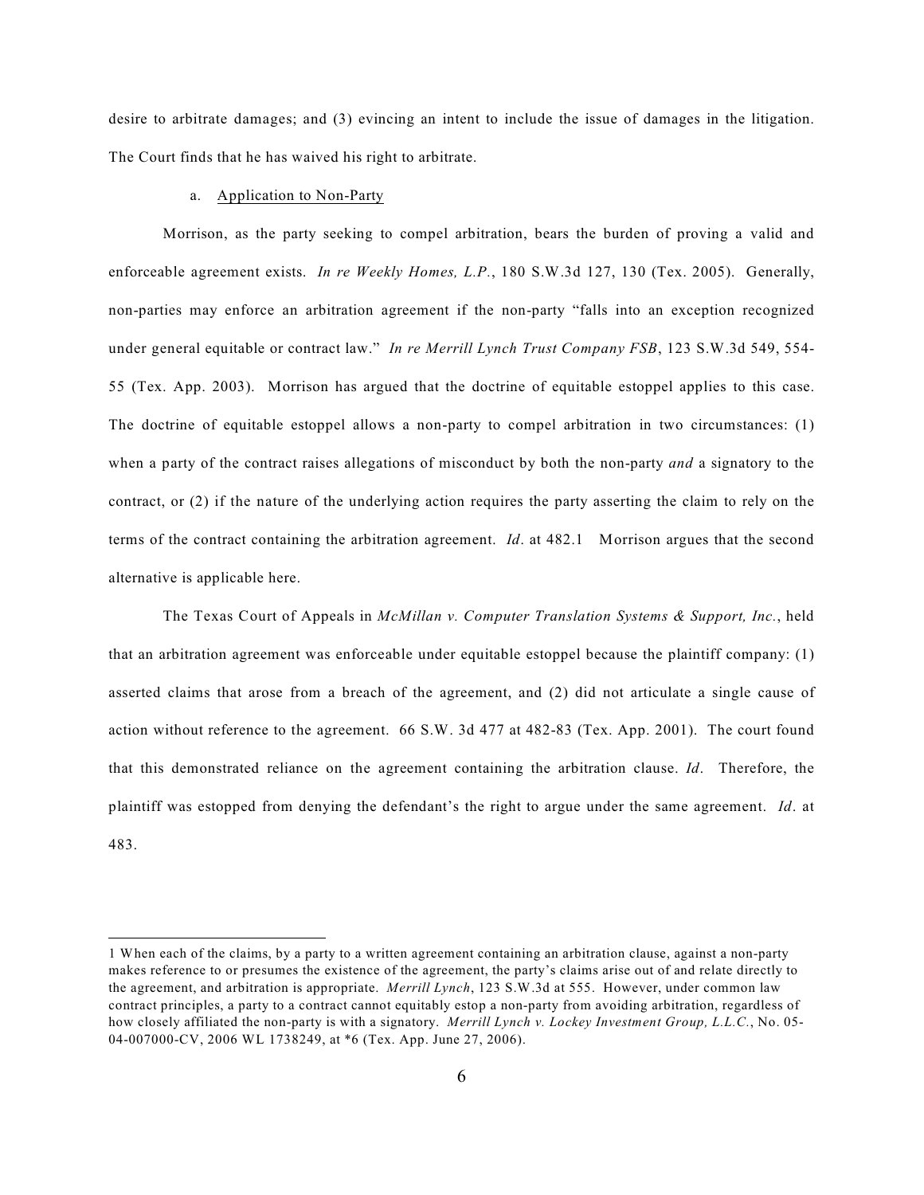desire to arbitrate damages; and (3) evincing an intent to include the issue of damages in the litigation. The Court finds that he has waived his right to arbitrate.

#### a. Application to Non-Party

Morrison, as the party seeking to compel arbitration, bears the burden of proving a valid and enforceable agreement exists. *In re Weekly Homes, L.P.*, 180 S.W.3d 127, 130 (Tex. 2005). Generally, non-parties may enforce an arbitration agreement if the non-party "falls into an exception recognized under general equitable or contract law." *In re Merrill Lynch Trust Company FSB*, 123 S.W.3d 549, 554- 55 (Tex. App. 2003). Morrison has argued that the doctrine of equitable estoppel applies to this case. The doctrine of equitable estoppel allows a non-party to compel arbitration in two circumstances: (1) when a party of the contract raises allegations of misconduct by both the non-party *and* a signatory to the contract, or (2) if the nature of the underlying action requires the party asserting the claim to rely on the terms of the contract containing the arbitration agreement. *Id*. at 482.1 Morrison argues that the second alternative is applicable here.

The Texas Court of Appeals in *McMillan v. Computer Translation Systems & Support, Inc.*, held that an arbitration agreement was enforceable under equitable estoppel because the plaintiff company: (1) asserted claims that arose from a breach of the agreement, and (2) did not articulate a single cause of action without reference to the agreement. 66 S.W. 3d 477 at 482-83 (Tex. App. 2001). The court found that this demonstrated reliance on the agreement containing the arbitration clause. *Id*. Therefore, the plaintiff was estopped from denying the defendant's the right to argue under the same agreement. *Id*. at 483.

<sup>1</sup> When each of the claims, by a party to a written agreement containing an arbitration clause, against a non-party makes reference to or presumes the existence of the agreement, the party's claims arise out of and relate directly to the agreement, and arbitration is appropriate. *Merrill Lynch*, 123 S.W.3d at 555. However, under common law contract principles, a party to a contract cannot equitably estop a non-party from avoiding arbitration, regardless of how closely affiliated the non-party is with a signatory. *Merrill Lynch v. Lockey Investment Group, L.L.C.*, No. 05- 04-007000-CV, 2006 WL 1738249, at \*6 (Tex. App. June 27, 2006).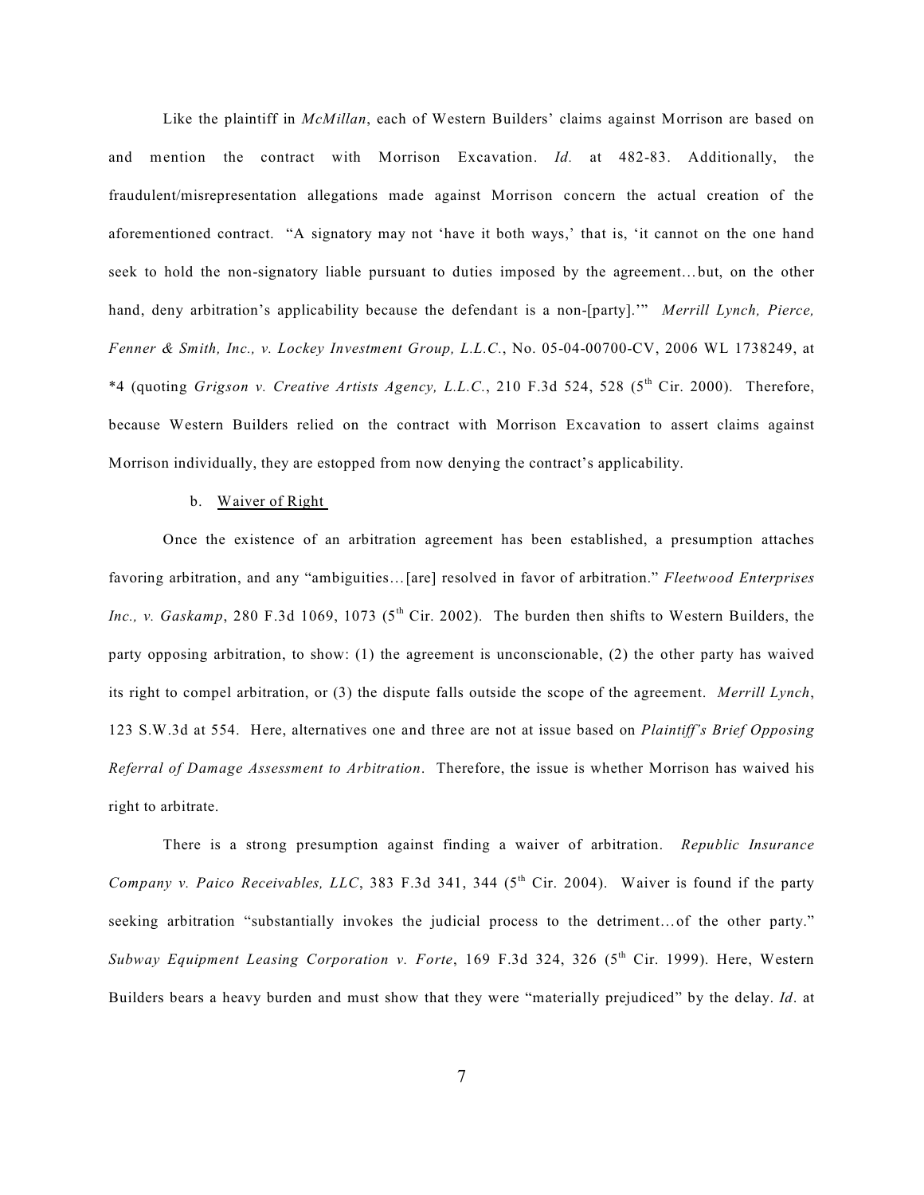Like the plaintiff in *McMillan*, each of Western Builders' claims against Morrison are based on and mention the contract with Morrison Excavation. *Id.* at 482-83. Additionally, the fraudulent/misrepresentation allegations made against Morrison concern the actual creation of the aforementioned contract. "A signatory may not 'have it both ways,' that is, 'it cannot on the one hand seek to hold the non-signatory liable pursuant to duties imposed by the agreement…but, on the other hand, deny arbitration's applicability because the defendant is a non-[party].'" *Merrill Lynch, Pierce, Fenner & Smith, Inc., v. Lockey Investment Group, L.L.C.*, No. 05-04-00700-CV, 2006 WL 1738249, at \*4 (quoting *Grigson v. Creative Artists Agency, L.L.C.*, 210 F.3d 524, 528 (5<sup>th</sup> Cir. 2000). Therefore, because Western Builders relied on the contract with Morrison Excavation to assert claims against Morrison individually, they are estopped from now denying the contract's applicability.

#### b. Waiver of Right

Once the existence of an arbitration agreement has been established, a presumption attaches favoring arbitration, and any "ambiguities…[are] resolved in favor of arbitration." *Fleetwood Enterprises Inc., v. Gaskamp*, 280 F.3d 1069, 1073 ( $5<sup>th</sup>$  Cir. 2002). The burden then shifts to Western Builders, the party opposing arbitration, to show: (1) the agreement is unconscionable, (2) the other party has waived its right to compel arbitration, or (3) the dispute falls outside the scope of the agreement. *Merrill Lynch*, 123 S.W.3d at 554. Here, alternatives one and three are not at issue based on *Plaintiff's Brief Opposing Referral of Damage Assessment to Arbitration*. Therefore, the issue is whether Morrison has waived his right to arbitrate.

There is a strong presumption against finding a waiver of arbitration. *Republic Insurance Company v. Paico Receivables, LLC*, 383 F.3d 341, 344 ( $5<sup>th</sup>$  Cir. 2004). Waiver is found if the party seeking arbitration "substantially invokes the judicial process to the detriment…of the other party." *Subway Equipment Leasing Corporation v. Forte, 169 F.3d 324, 326 (5<sup>th</sup> Cir. 1999). Here, Western* Builders bears a heavy burden and must show that they were "materially prejudiced" by the delay. *Id*. at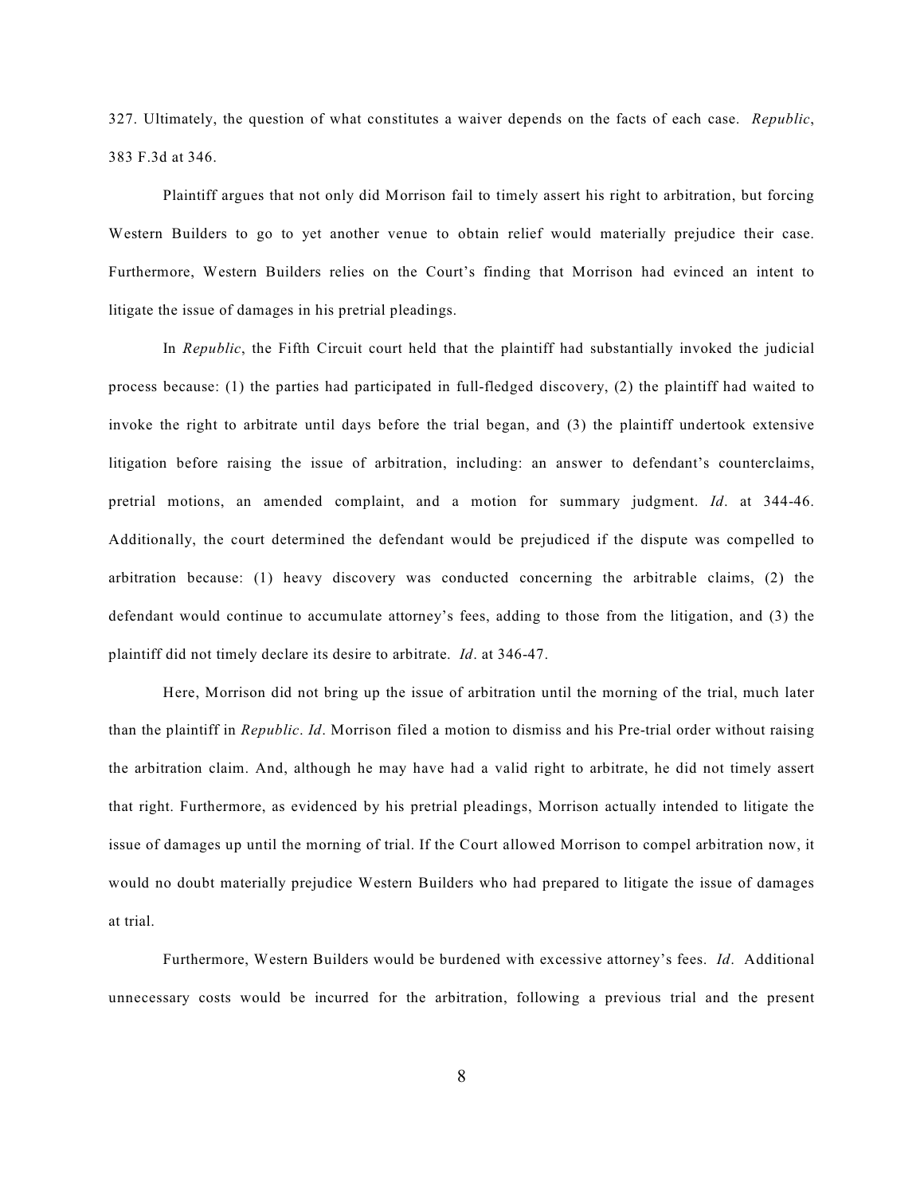327. Ultimately, the question of what constitutes a waiver depends on the facts of each case. *Republic*, 383 F.3d at 346.

Plaintiff argues that not only did Morrison fail to timely assert his right to arbitration, but forcing Western Builders to go to yet another venue to obtain relief would materially prejudice their case. Furthermore, Western Builders relies on the Court's finding that Morrison had evinced an intent to litigate the issue of damages in his pretrial pleadings.

In *Republic*, the Fifth Circuit court held that the plaintiff had substantially invoked the judicial process because: (1) the parties had participated in full-fledged discovery, (2) the plaintiff had waited to invoke the right to arbitrate until days before the trial began, and (3) the plaintiff undertook extensive litigation before raising the issue of arbitration, including: an answer to defendant's counterclaims, pretrial motions, an amended complaint, and a motion for summary judgment. *Id*. at 344-46. Additionally, the court determined the defendant would be prejudiced if the dispute was compelled to arbitration because: (1) heavy discovery was conducted concerning the arbitrable claims, (2) the defendant would continue to accumulate attorney's fees, adding to those from the litigation, and (3) the plaintiff did not timely declare its desire to arbitrate. *Id*. at 346-47.

Here, Morrison did not bring up the issue of arbitration until the morning of the trial, much later than the plaintiff in *Republic*. *Id*. Morrison filed a motion to dismiss and his Pre-trial order without raising the arbitration claim. And, although he may have had a valid right to arbitrate, he did not timely assert that right. Furthermore, as evidenced by his pretrial pleadings, Morrison actually intended to litigate the issue of damages up until the morning of trial. If the Court allowed Morrison to compel arbitration now, it would no doubt materially prejudice Western Builders who had prepared to litigate the issue of damages at trial.

Furthermore, Western Builders would be burdened with excessive attorney's fees. *Id*. Additional unnecessary costs would be incurred for the arbitration, following a previous trial and the present